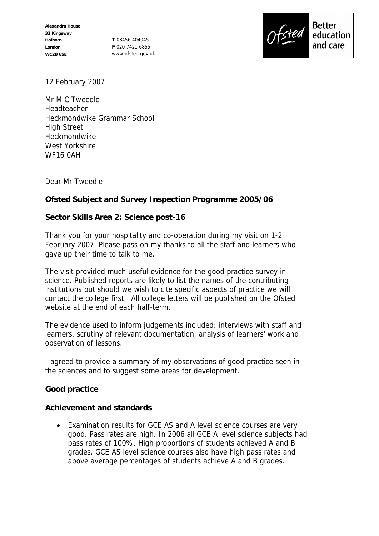**T** 08456 404045 **F** 020 7421 6855 www.ofsted.gov.uk



12 February 2007

Mr M C Tweedle Headteacher Heckmondwike Grammar School High Street Heckmondwike West Yorkshire WF16 0AH

Dear Mr Tweedle

**Ofsted Subject and Survey Inspection Programme 2005/06**

**Sector Skills Area 2: Science post-16**

Thank you for your hospitality and co-operation during my visit on 1-2 February 2007. Please pass on my thanks to all the staff and learners who gave up their time to talk to me.

The visit provided much useful evidence for the good practice survey in science. Published reports are likely to list the names of the contributing institutions but should we wish to cite specific aspects of practice we will contact the college first. All college letters will be published on the Ofsted website at the end of each half-term.

The evidence used to inform judgements included: interviews with staff and learners, scrutiny of relevant documentation, analysis of learners' work and observation of lessons.

I agreed to provide a summary of my observations of good practice seen in the sciences and to suggest some areas for development.

**Good practice**

**Achievement and standards**

 Examination results for GCE AS and A level science courses are very good. Pass rates are high. In 2006 all GCE A level science subjects had pass rates of 100%. High proportions of students achieved A and B grades. GCE AS level science courses also have high pass rates and above average percentages of students achieve A and B grades.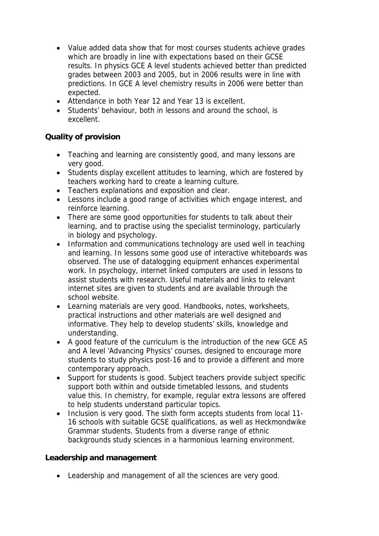- Value added data show that for most courses students achieve grades which are broadly in line with expectations based on their GCSE results. In physics GCE A level students achieved better than predicted grades between 2003 and 2005, but in 2006 results were in line with predictions. In GCE A level chemistry results in 2006 were better than expected.
- Attendance in both Year 12 and Year 13 is excellent.
- Students' behaviour, both in lessons and around the school, is excellent.

## **Quality of provision**

- Teaching and learning are consistently good, and many lessons are very good.
- Students display excellent attitudes to learning, which are fostered by teachers working hard to create a learning culture.
- Teachers explanations and exposition and clear.
- Lessons include a good range of activities which engage interest, and reinforce learning.
- There are some good opportunities for students to talk about their learning, and to practise using the specialist terminology, particularly in biology and psychology.
- Information and communications technology are used well in teaching and learning. In lessons some good use of interactive whiteboards was observed. The use of datalogging equipment enhances experimental work. In psychology, internet linked computers are used in lessons to assist students with research. Useful materials and links to relevant internet sites are given to students and are available through the school website.
- Learning materials are very good. Handbooks, notes, worksheets, practical instructions and other materials are well designed and informative. They help to develop students' skills, knowledge and understanding.
- A good feature of the curriculum is the introduction of the new GCE AS and A level 'Advancing Physics' courses, designed to encourage more students to study physics post-16 and to provide a different and more contemporary approach.
- Support for students is good. Subject teachers provide subject specific support both within and outside timetabled lessons, and students value this. In chemistry, for example, regular extra lessons are offered to help students understand particular topics.
- Inclusion is very good. The sixth form accepts students from local 11-16 schools with suitable GCSE qualifications, as well as Heckmondwike Grammar students. Students from a diverse range of ethnic backgrounds study sciences in a harmonious learning environment.

**Leadership and management**

Leadership and management of all the sciences are very good.